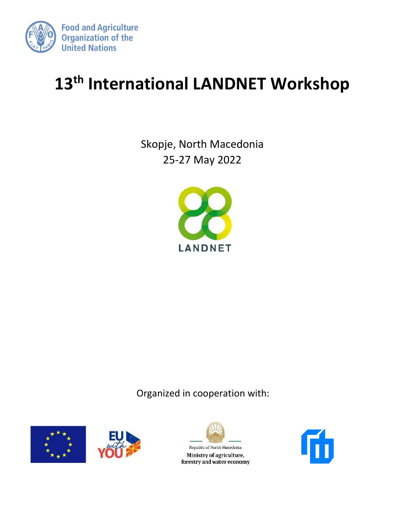

# **13 th International LANDNET Workshop**

Skopje, North Macedonia 25-27 May 2022



Organized in cooperation with:





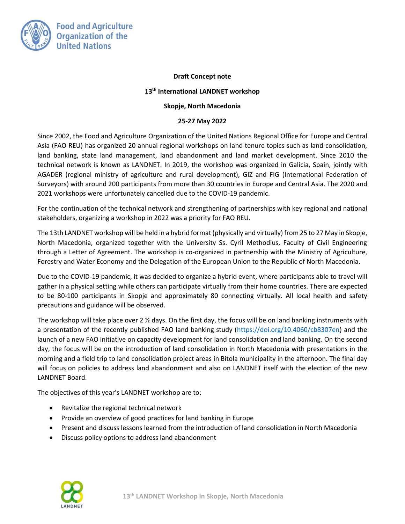

## **Draft Concept note**

## **13th International LANDNET workshop**

### **Skopje, North Macedonia**

## **25-27 May 2022**

Since 2002, the Food and Agriculture Organization of the United Nations Regional Office for Europe and Central Asia (FAO REU) has organized 20 annual regional workshops on land tenure topics such as land consolidation, land banking, state land management, land abandonment and land market development. Since 2010 the technical network is known as LANDNET. In 2019, the workshop was organized in Galicia, Spain, jointly with AGADER (regional ministry of agriculture and rural development), GIZ and FIG (International Federation of Surveyors) with around 200 participants from more than 30 countries in Europe and Central Asia. The 2020 and 2021 workshops were unfortunately cancelled due to the COVID-19 pandemic.

For the continuation of the technical network and strengthening of partnerships with key regional and national stakeholders, organizing a workshop in 2022 was a priority for FAO REU.

The 13th LANDNET workshop will be held in a hybrid format (physically and virtually) from 25 to 27 May in Skopje, North Macedonia, organized together with the University Ss. Cyril Methodius, Faculty of Civil Engineering through a Letter of Agreement. The workshop is co-organized in partnership with the Ministry of Agriculture, Forestry and Water Economy and the Delegation of the European Union to the Republic of North Macedonia.

Due to the COVID-19 pandemic, it was decided to organize a hybrid event, where participants able to travel will gather in a physical setting while others can participate virtually from their home countries. There are expected to be 80-100 participants in Skopje and approximately 80 connecting virtually. All local health and safety precautions and guidance will be observed.

The workshop will take place over 2  $\frac{1}{2}$  days. On the first day, the focus will be on land banking instruments with a presentation of the recently published FAO land banking study [\(https://doi.org/10.4060/cb8307en\)](https://doi.org/10.4060/cb8307en) and the launch of a new FAO initiative on capacity development for land consolidation and land banking. On the second day, the focus will be on the introduction of land consolidation in North Macedonia with presentations in the morning and a field trip to land consolidation project areas in Bitola municipality in the afternoon. The final day will focus on policies to address land abandonment and also on LANDNET itself with the election of the new LANDNET Board.

The objectives of this year's LANDNET workshop are to:

- Revitalize the regional technical network
- Provide an overview of good practices for land banking in Europe
- Present and discuss lessons learned from the introduction of land consolidation in North Macedonia
- Discuss policy options to address land abandonment

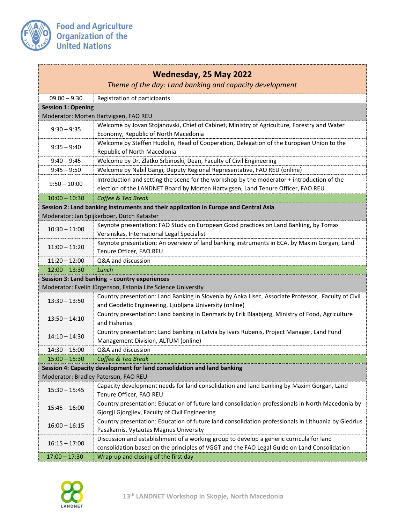

| Wednesday, 25 May 2022<br>Theme of the day: Land banking and capacity development    |                                                                                                                                                                                        |  |
|--------------------------------------------------------------------------------------|----------------------------------------------------------------------------------------------------------------------------------------------------------------------------------------|--|
| $09.00 - 9.30$                                                                       | Registration of participants                                                                                                                                                           |  |
| <b>Session 1: Opening</b>                                                            |                                                                                                                                                                                        |  |
| Moderator: Morten Hartvigsen, FAO REU                                                |                                                                                                                                                                                        |  |
| $9:30 - 9:35$                                                                        | Welcome by Jovan Stojanovski, Chief of Cabinet, Ministry of Agriculture, Forestry and Water<br>Economy, Republic of North Macedonia                                                    |  |
| $9:35 - 9:40$                                                                        | Welcome by Steffen Hudolin, Head of Cooperation, Delegation of the European Union to the<br>Republic of North Macedonia                                                                |  |
| $9:40 - 9:45$                                                                        | Welcome by Dr. Zlatko Srbinoski, Dean, Faculty of Civil Engineering                                                                                                                    |  |
| $9:45 - 9:50$                                                                        | Welcome by Nabil Gangi, Deputy Regional Representative, FAO REU (online)                                                                                                               |  |
| $9:50 - 10:00$                                                                       | Introduction and setting the scene for the workshop by the moderator + introduction of the<br>election of the LANDNET Board by Morten Hartvigsen, Land Tenure Officer, FAO REU         |  |
| $10:00 - 10:30$                                                                      | Coffee & Tea Break                                                                                                                                                                     |  |
| Session 2: Land banking instruments and their application in Europe and Central Asia |                                                                                                                                                                                        |  |
|                                                                                      | Moderator: Jan Spijkerboer, Dutch Kataster                                                                                                                                             |  |
| $10:30 - 11:00$                                                                      | Keynote presentation: FAO Study on European Good practices on Land Banking, by Tomas<br>Versinskas, International Legal Specialist                                                     |  |
| $11:00 - 11:20$                                                                      | Keynote presentation: An overview of land banking instruments in ECA, by Maxim Gorgan, Land<br>Tenure Officer, FAO REU                                                                 |  |
| $11:20 - 12:00$                                                                      | Q&A and discussion                                                                                                                                                                     |  |
| $12:00 - 13:30$                                                                      | Lunch                                                                                                                                                                                  |  |
| Session 3: Land banking - country experiences                                        |                                                                                                                                                                                        |  |
| Moderator: Evelin Jürgenson, Estonia Life Science University                         |                                                                                                                                                                                        |  |
| $13:30 - 13:50$                                                                      | Country presentation: Land Banking in Slovenia by Anka Lisec, Associate Professor, Faculty of Civil<br>and Geodetic Engineering, Ljubljana University (online)                         |  |
| $13:50 - 14:10$                                                                      | Country presentation: Land banking in Denmark by Erik Blaabjerg, Ministry of Food, Agriculture<br>and Fisheries                                                                        |  |
| $14:10 - 14:30$                                                                      | Country presentation: Land banking in Latvia by Ivars Rubenis, Project Manager, Land Fund<br>Management Division, ALTUM (online)                                                       |  |
| $14:30 - 15:00$                                                                      | Q&A and discussion                                                                                                                                                                     |  |
| $15:00 - 15:30$                                                                      | Coffee & Tea Break                                                                                                                                                                     |  |
|                                                                                      | Session 4: Capacity development for land consolidation and land banking                                                                                                                |  |
|                                                                                      | Moderator: Bradley Paterson, FAO REU                                                                                                                                                   |  |
| $15:30 - 15:45$                                                                      | Capacity development needs for land consolidation and land banking by Maxim Gorgan, Land<br>Tenure Officer, FAO REU                                                                    |  |
| $15:45 - 16:00$                                                                      | Country presentation: Education of future land consolidation professionals in North Macedonia by<br>Gjorgji Gjorgjiev, Faculty of Civil Engineering                                    |  |
| $16:00 - 16:15$                                                                      | Country presentation: Education of future land consolidation professionals in Lithuania by Giedrius<br>Pasakarnis, Vytautas Magnus University                                          |  |
| $16:15 - 17:00$                                                                      | Discussion and establishment of a working group to develop a generic curricula for land<br>consolidation based on the principles of VGGT and the FAO Legal Guide on Land Consolidation |  |
| $17:00 - 17:30$                                                                      | Wrap-up and closing of the first day                                                                                                                                                   |  |